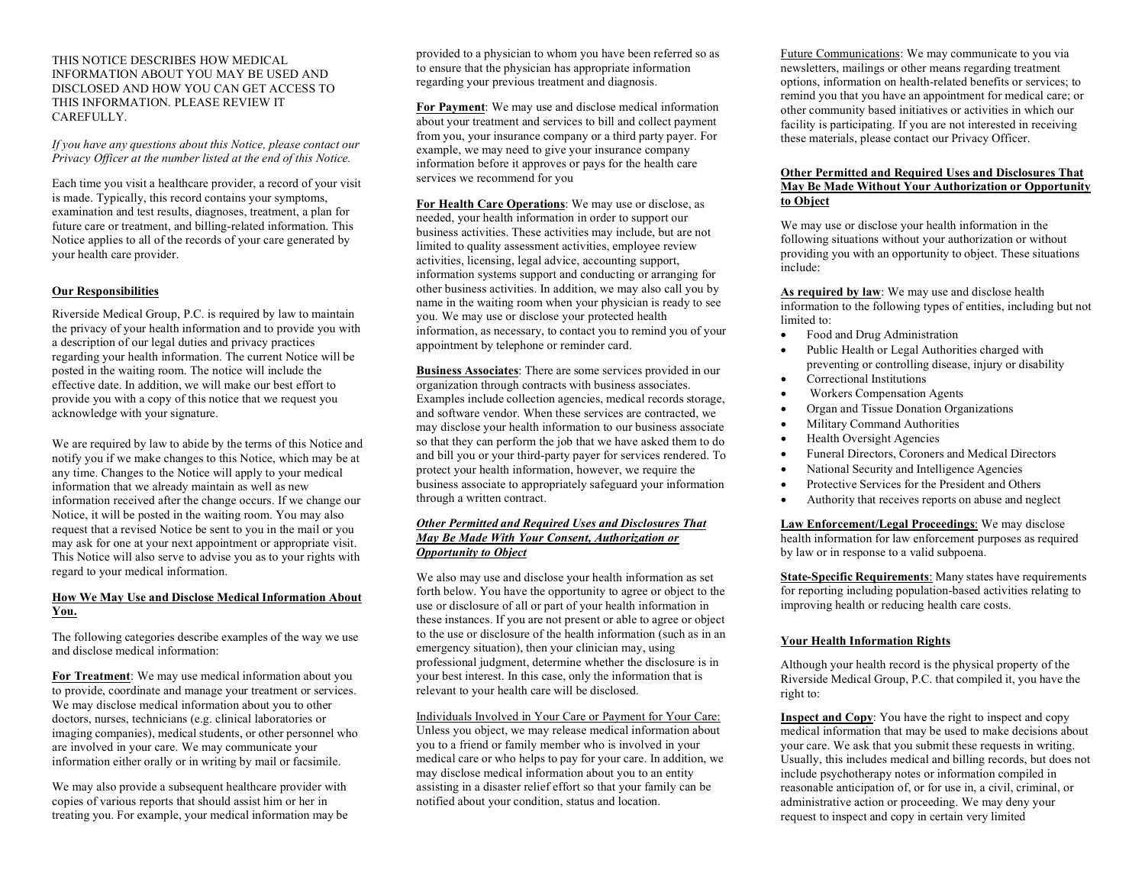#### THIS NOTICE DESCRIBES HOW MEDICAL INFORMATION ABOUT YOU MAY BE USED AND DISCLOSED AND HOW YOU CAN GET ACCESS TO THIS INFORMATION. PLEASE REVIEW IT CAREFULLY.

*If you have any questions about this Notice, please contact our Privacy Officer at the number listed at the end of this Notice.*

Each time you visit a healthcare provider, a record of your visit is made. Typically, this record contains your symptoms, examination and test results, diagnoses, treatment, a plan for future care or treatment, and billing-related information. This Notice applies to all of the records of your care generated by your health care provider.

#### **Our Responsibilities**

Riverside Medical Group, P.C. is required by law to maintain the privacy of your health information and to provide you with a description of our legal duties and privacy practices regarding your health information. The current Notice will be posted in the waiting room. The notice will include the effective date. In addition, we will make our best effort to provide you with a copy of this notice that we request you acknowledge with your signature.

We are required by law to abide by the terms of this Notice and notify you if we make changes to this Notice, which may be at any time. Changes to the Notice will apply to your medical information that we already maintain as well as new information received after the change occurs. If we change our Notice, it will be posted in the waiting room. You may also request that a revised Notice be sent to you in the mail or you may ask for one at your next appointment or appropriate visit. This Notice will also serve to advise you as to your rights with regard to your medical information.

### **How We May Use and Disclose Medical Information About You.**

The following categories describe examples of the way we use and disclose medical information:

**For Treatment**: We may use medical information about you to provide, coordinate and manage your treatment or services. We may disclose medical information about you to other doctors, nurses, technicians (e.g. clinical laboratories or imaging companies), medical students, or other personnel who are involved in your care. We may communicate your information either orally or in writing by mail or facsimile.

We may also provide a subsequent healthcare provider with copies of various reports that should assist him or her in treating you. For example, your medical information may be provided to a physician to whom you have been referred so as to ensure that the physician has appropriate information regarding your previous treatment and diagnosis.

**For Payment**: We may use and disclose medical information about your treatment and services to bill and collect payment from you, your insurance company or a third party payer. For example, we may need to give your insurance company information before it approves or pays for the health care services we recommend for you

**For Health Care Operations**: We may use or disclose, as needed, your health information in order to support our business activities. These activities may include, but are not limited to quality assessment activities, employee review activities, licensing, legal advice, accounting support, information systems support and conducting or arranging for other business activities. In addition, we may also call you by name in the waiting room when your physician is ready to see you. We may use or disclose your protected health information, as necessary, to contact you to remind you of your appointment by telephone or reminder card.

**Business Associates**: There are some services provided in our organization through contracts with business associates. Examples include collection agencies, medical records storage, and software vendor. When these services are contracted, we may disclose your health information to our business associate so that they can perform the job that we have asked them to do and bill you or your third-party payer for services rendered. To protect your health information, however, we require the business associate to appropriately safeguard your information through a written contract.

#### *Other Permitted and Required Uses and Disclosures That May Be Made With Your Consent, Authorization or Opportunity to Object*

We also may use and disclose your health information as set forth below. You have the opportunity to agree or object to the use or disclosure of all or part of your health information in these instances. If you are not present or able to agree or object to the use or disclosure of the health information (such as in an emergency situation), then your clinician may, using professional judgment, determine whether the disclosure is in your best interest. In this case, only the information that is relevant to your health care will be disclosed.

Individuals Involved in Your Care or Payment for Your Care: Unless you object, we may release medical information about you to a friend or family member who is involved in your medical care or who helps to pay for your care. In addition, we may disclose medical information about you to an entity assisting in a disaster relief effort so that your family can be notified about your condition, status and location.

Future Communications: We may communicate to you via newsletters, mailings or other means regarding treatment options, information on health-related benefits or services; to remind you that you have an appointment for medical care; or other community based initiatives or activities in which our facility is participating. If you are not interested in receiving these materials, please contact our Privacy Officer.

#### **Other Permitted and Required Uses and Disclosures That May Be Made Without Your Authorization or Opportunity to Object**

We may use or disclose your health information in the following situations without your authorization or without providing you with an opportunity to object. These situations include:

**As required by law**: We may use and disclose health information to the following types of entities, including but not limited to:

- Food and Drug Administration
- Public Health or Legal Authorities charged with preventing or controlling disease, injury or disability • Correctional Institutions
- Workers Compensation Agents
- Organ and Tissue Donation Organizations
- Military Command Authorities
- Health Oversight Agencies
- Funeral Directors, Coroners and Medical Directors
- National Security and Intelligence Agencies
- Protective Services for the President and Others
- Authority that receives reports on abuse and neglect

**Law Enforcement/Legal Proceedings**: We may disclose health information for law enforcement purposes as required by law or in response to a valid subpoena.

**State-Specific Requirements**: Many states have requirements for reporting including population-based activities relating to improving health or reducing health care costs.

#### **Your Health Information Rights**

Although your health record is the physical property of the Riverside Medical Group, P.C. that compiled it, you have the right to:

**Inspect and Copy**: You have the right to inspect and copy medical information that may be used to make decisions about your care. We ask that you submit these requests in writing. Usually, this includes medical and billing records, but does not include psychotherapy notes or information compiled in reasonable anticipation of, or for use in, a civil, criminal, or administrative action or proceeding. We may deny your request to inspect and copy in certain very limited